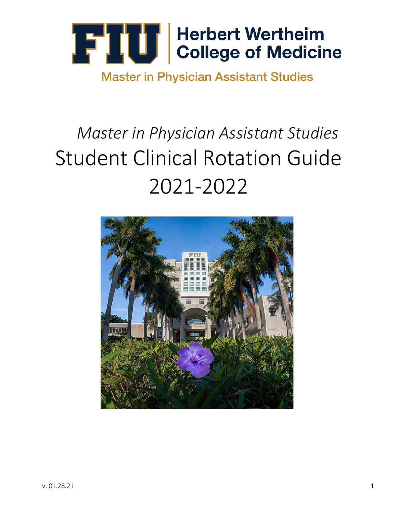

**Master in Physician Assistant Studies** 

## *Master in Physician Assistant Studies* Student Clinical Rotation Guide 2021-2022

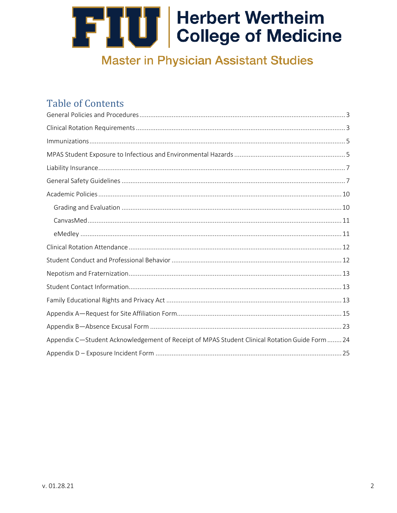### **Master in Physician Assistant Studies**

### **Table of Contents**

| Appendix C-Student Acknowledgement of Receipt of MPAS Student Clinical Rotation Guide Form  24 |
|------------------------------------------------------------------------------------------------|
|                                                                                                |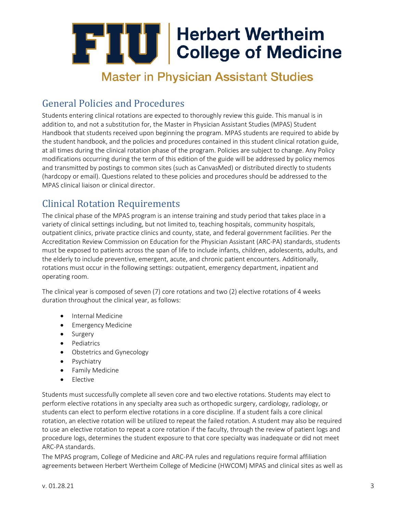### **Master in Physician Assistant Studies**

### <span id="page-2-0"></span>General Policies and Procedures

Students entering clinical rotations are expected to thoroughly review this guide. This manual is in addition to, and not a substitution for, the Master in Physician Assistant Studies (MPAS) Student Handbook that students received upon beginning the program. MPAS students are required to abide by the student handbook, and the policies and procedures contained in this student clinical rotation guide, at all times during the clinical rotation phase of the program. Policies are subject to change. Any Policy modifications occurring during the term of this edition of the guide will be addressed by policy memos and transmitted by postings to common sites (such as CanvasMed) or distributed directly to students (hardcopy or email). Questions related to these policies and procedures should be addressed to the MPAS clinical liaison or clinical director.

### <span id="page-2-1"></span>Clinical Rotation Requirements

The clinical phase of the MPAS program is an intense training and study period that takes place in a variety of clinical settings including, but not limited to, teaching hospitals, community hospitals, outpatient clinics, private practice clinics and county, state, and federal government facilities. Per the Accreditation Review Commission on Education for the Physician Assistant (ARC-PA) standards, students must be exposed to patients across the span of life to include infants, children, adolescents, adults, and the elderly to include preventive, emergent, acute, and chronic patient encounters. Additionally, rotations must occur in the following settings: outpatient, emergency department, inpatient and operating room.

The clinical year is composed of seven (7) core rotations and two (2) elective rotations of 4 weeks duration throughout the clinical year, as follows:

- Internal Medicine
- Emergency Medicine
- Surgery
- Pediatrics
- Obstetrics and Gynecology
- Psychiatry
- Family Medicine
- Elective

Students must successfully complete all seven core and two elective rotations. Students may elect to perform elective rotations in any specialty area such as orthopedic surgery, cardiology, radiology, or students can elect to perform elective rotations in a core discipline. If a student fails a core clinical rotation, an elective rotation will be utilized to repeat the failed rotation. A student may also be required to use an elective rotation to repeat a core rotation if the faculty, through the review of patient logs and procedure logs, determines the student exposure to that core specialty was inadequate or did not meet ARC-PA standards.

The MPAS program, College of Medicine and ARC-PA rules and regulations require formal affiliation agreements between Herbert Wertheim College of Medicine (HWCOM) MPAS and clinical sites as well as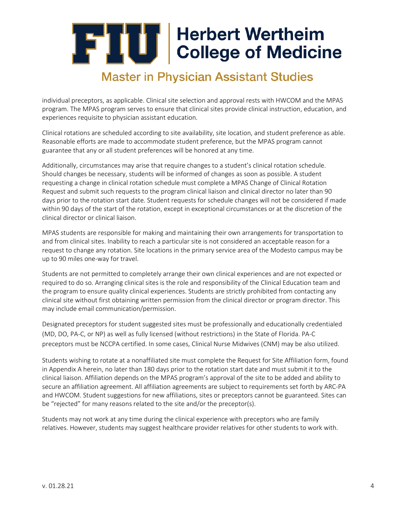### **Master in Physician Assistant Studies**

individual preceptors, as applicable. Clinical site selection and approval rests with HWCOM and the MPAS program. The MPAS program serves to ensure that clinical sites provide clinical instruction, education, and experiences requisite to physician assistant education.

Clinical rotations are scheduled according to site availability, site location, and student preference as able. Reasonable efforts are made to accommodate student preference, but the MPAS program cannot guarantee that any or all student preferences will be honored at any time.

Additionally, circumstances may arise that require changes to a student's clinical rotation schedule. Should changes be necessary, students will be informed of changes as soon as possible. A student requesting a change in clinical rotation schedule must complete a MPAS Change of Clinical Rotation Request and submit such requests to the program clinical liaison and clinical director no later than 90 days prior to the rotation start date. Student requests for schedule changes will not be considered if made within 90 days of the start of the rotation, except in exceptional circumstances or at the discretion of the clinical director or clinical liaison.

MPAS students are responsible for making and maintaining their own arrangements for transportation to and from clinical sites. Inability to reach a particular site is not considered an acceptable reason for a request to change any rotation. Site locations in the primary service area of the Modesto campus may be up to 90 miles one-way for travel.

Students are not permitted to completely arrange their own clinical experiences and are not expected or required to do so. Arranging clinical sites is the role and responsibility of the Clinical Education team and the program to ensure quality clinical experiences. Students are strictly prohibited from contacting any clinical site without first obtaining written permission from the clinical director or program director. This may include email communication/permission.

Designated preceptors for student suggested sites must be professionally and educationally credentialed (MD, DO, PA-C, or NP) as well as fully licensed (without restrictions) in the State of Florida. PA-C preceptors must be NCCPA certified. In some cases, Clinical Nurse Midwives (CNM) may be also utilized.

Students wishing to rotate at a nonaffiliated site must complete the Request for Site Affiliation form, found in Appendix A herein, no later than 180 days prior to the rotation start date and must submit it to the clinical liaison. Affiliation depends on the MPAS program's approval of the site to be added and ability to secure an affiliation agreement. All affiliation agreements are subject to requirements set forth by ARC-PA and HWCOM. Student suggestions for new affiliations, sites or preceptors cannot be guaranteed. Sites can be "rejected" for many reasons related to the site and/or the preceptor(s).

Students may not work at any time during the clinical experience with preceptors who are family relatives. However, students may suggest healthcare provider relatives for other students to work with.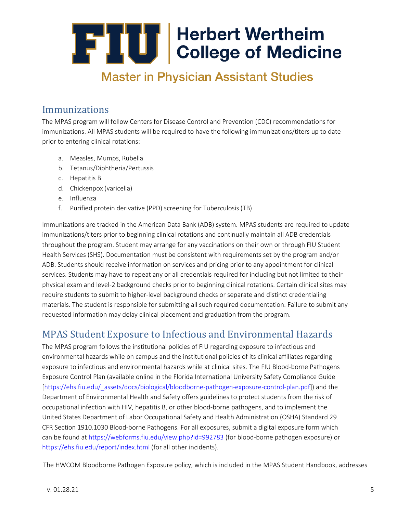### **Master in Physician Assistant Studies**

### <span id="page-4-0"></span>Immunizations

The MPAS program will follow Centers for Disease Control and Prevention (CDC) recommendations for immunizations. All MPAS students will be required to have the following immunizations/titers up to date prior to entering clinical rotations:

- a. Measles, Mumps, Rubella
- b. Tetanus/Diphtheria/Pertussis
- c. Hepatitis B
- d. Chickenpox (varicella)
- e. Influenza
- f. Purified protein derivative (PPD) screening for Tuberculosis (TB)

Immunizations are tracked in the American Data Bank (ADB) system. MPAS students are required to update immunizations/titers prior to beginning clinical rotations and continually maintain all ADB credentials throughout the program. Student may arrange for any vaccinations on their own or through FIU Student Health Services (SHS). Documentation must be consistent with requirements set by the program and/or ADB. Students should receive information on services and pricing prior to any appointment for clinical services. Students may have to repeat any or all credentials required for including but not limited to their physical exam and level-2 background checks prior to beginning clinical rotations. Certain clinical sites may require students to submit to higher-level background checks or separate and distinct credentialing materials. The student is responsible for submitting all such required documentation. Failure to submit any requested information may delay clinical placement and graduation from the program.

### <span id="page-4-1"></span>MPAS Student Exposure to Infectious and Environmental Hazards

The MPAS program follows the institutional policies of FIU regarding exposure to infectious and environmental hazards while on campus and the institutional policies of its clinical affiliates regarding exposure to infectious and environmental hazards while at clinical sites. The FIU Blood-borne Pathogens Exposure Control Plan (available online in the Florida International University Safety Compliance Guide [\[https://ehs.fiu.edu/\\_assets/docs/biological/bloodborne-pathogen-exposure-control-plan.pdf\]\) a](https://ehs.fiu.edu/_assets/docs/biological/bloodborne-pathogen-exposure-control-plan.pdf)nd the Department of Environmental Health and Safety offers guidelines to protect students from the risk of occupational infection with HIV, hepatitis B, or other blood-borne pathogens, and to implement the United States Department of Labor Occupational Safety and Health Administration (OSHA) Standard 29 CFR Section 1910.1030 Blood-borne Pathogens. For all exposures, submit a digital exposure form which can be found a[t https://webforms.fiu.edu/view.php?id=992783 \(](https://webforms.fiu.edu/view.php?id=992783)for blood-borne pathogen exposure) or [https://ehs.fiu.edu/report/index.html \(](https://ehs.fiu.edu/report/index.html)for all other incidents).

The HWCOM Bloodborne Pathogen Exposure policy, which is included in the MPAS Student Handbook, addresses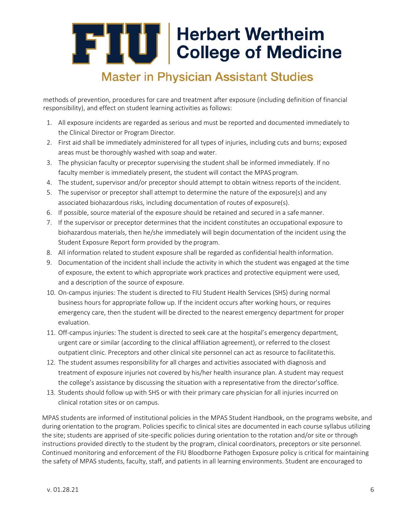### **Master in Physician Assistant Studies**

methods of prevention, procedures for care and treatment after exposure (including definition of financial responsibility), and effect on student learning activities as follows:

- 1. All exposure incidents are regarded as serious and must be reported and documented immediately to the Clinical Director or Program Director.
- 2. First aid shall be immediately administered for all types of injuries, including cuts and burns; exposed areas must be thoroughly washed with soap and water.
- 3. The physician faculty or preceptor supervising the student shall be informed immediately. If no faculty member is immediately present, the student will contact the MPAS program.
- 4. The student, supervisor and/or preceptor should attempt to obtain witness reports of the incident.
- 5. The supervisor or preceptor shall attempt to determine the nature of the exposure(s) and any associated biohazardous risks, including documentation of routes of exposure(s).
- 6. If possible, source material of the exposure should be retained and secured in a safemanner.
- 7. If the supervisor or preceptor determines that the incident constitutes an occupational exposure to biohazardous materials, then he/she immediately will begin documentation of the incident using the Student Exposure Report form provided by the program.
- 8. All information related to student exposure shall be regarded as confidential health information.
- 9. Documentation of the incident shall include the activity in which the student was engaged at the time of exposure, the extent to which appropriate work practices and protective equipment were used, and a description of the source of exposure.
- 10. On-campus injuries: The student is directed to FIU Student Health Services (SHS) during normal business hours for appropriate follow up. If the incident occurs after working hours, or requires emergency care, then the student will be directed to the nearest emergency department for proper evaluation.
- 11. Off-campus injuries: The student is directed to seek care at the hospital's emergency department, urgent care or similar (according to the clinical affiliation agreement), or referred to the closest outpatient clinic. Preceptors and other clinical site personnel can act as resource to facilitatethis.
- 12. The student assumes responsibility for all charges and activities associated with diagnosis and treatment of exposure injuries not covered by his/her health insurance plan. A student may request the college's assistance by discussing the situation with a representative from the director'soffice.
- 13. Students should follow up with SHS or with their primary care physician for all injuries incurred on clinical rotation sites or on campus.

MPAS students are informed of institutional policies in the MPAS Student Handbook, on the programs website, and during orientation to the program. Policies specific to clinical sites are documented in each course syllabus utilizing the site; students are apprised of site-specific policies during orientation to the rotation and/or site or through instructions provided directly to the student by the program, clinical coordinators, preceptors or site personnel. Continued monitoring and enforcement of the FIU Bloodborne Pathogen Exposure policy is critical for maintaining the safety of MPAS students, faculty, staff, and patients in all learning environments. Student are encouraged to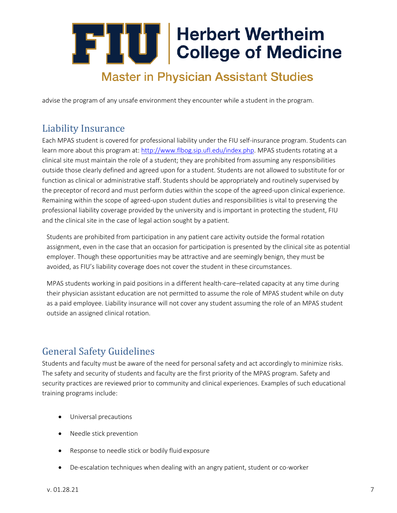### **Master in Physician Assistant Studies**

advise the program of any unsafe environment they encounter while a student in the program.

### <span id="page-6-0"></span>Liability Insurance

Each MPAS student is covered for professional liability under the FIU self-insurance program. Students can learn more about this program at: [http://www.flbog.sip.ufl.edu/index.php. M](http://www.flbog.sip.ufl.edu/index.php)PAS students rotating at a clinical site must maintain the role of a student; they are prohibited from assuming any responsibilities outside those clearly defined and agreed upon for a student. Students are not allowed to substitute for or function as clinical or administrative staff. Students should be appropriately and routinely supervised by the preceptor of record and must perform duties within the scope of the agreed-upon clinical experience. Remaining within the scope of agreed-upon student duties and responsibilities is vital to preserving the professional liability coverage provided by the university and is important in protecting the student, FIU and the clinical site in the case of legal action sought by a patient.

Students are prohibited from participation in any patient care activity outside the formal rotation assignment, even in the case that an occasion for participation is presented by the clinical site as potential employer. Though these opportunities may be attractive and are seemingly benign, they must be avoided, as FIU's liability coverage does not cover the student in these circumstances.

MPAS students working in paid positions in a different health-care–related capacity at any time during their physician assistant education are not permitted to assume the role of MPAS student while on duty as a paid employee. Liability insurance will not cover any student assuming the role of an MPAS student outside an assigned clinical rotation.

### <span id="page-6-1"></span>General Safety Guidelines

Students and faculty must be aware of the need for personal safety and act accordingly to minimize risks. The safety and security of students and faculty are the first priority of the MPAS program. Safety and security practices are reviewed prior to community and clinical experiences. Examples of such educational training programs include:

- Universal precautions
- Needle stick prevention
- Response to needle stick or bodily fluid exposure
- De-escalation techniques when dealing with an angry patient, student or co-worker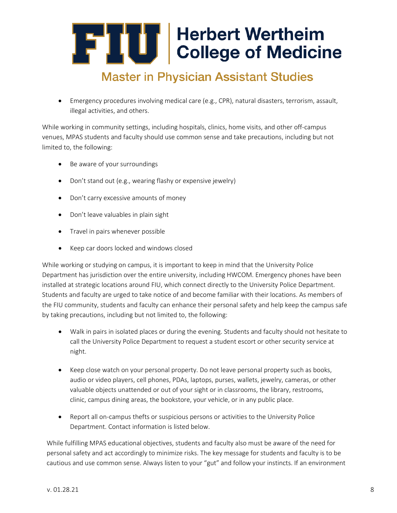### **Master in Physician Assistant Studies**

• Emergency procedures involving medical care (e.g., CPR), natural disasters, terrorism, assault, illegal activities, and others.

While working in community settings, including hospitals, clinics, home visits, and other off-campus venues, MPAS students and faculty should use common sense and take precautions, including but not limited to, the following:

- Be aware of your surroundings
- Don't stand out (e.g., wearing flashy or expensive jewelry)
- Don't carry excessive amounts of money
- Don't leave valuables in plain sight
- Travel in pairs whenever possible
- Keep car doors locked and windows closed

While working or studying on campus, it is important to keep in mind that the University Police Department has jurisdiction over the entire university, including HWCOM. Emergency phones have been installed at strategic locations around FIU, which connect directly to the University Police Department. Students and faculty are urged to take notice of and become familiar with their locations. As members of the FIU community, students and faculty can enhance their personal safety and help keep the campus safe by taking precautions, including but not limited to, the following:

- Walk in pairs in isolated places or during the evening. Students and faculty should not hesitate to call the University Police Department to request a student escort or other security service at night.
- Keep close watch on your personal property. Do not leave personal property such as books, audio or video players, cell phones, PDAs, laptops, purses, wallets, jewelry, cameras, or other valuable objects unattended or out of your sight or in classrooms, the library, restrooms, clinic, campus dining areas, the bookstore, your vehicle, or in any public place.
- Report all on-campus thefts or suspicious persons or activities to the University Police Department. Contact information is listed below.

While fulfilling MPAS educational objectives, students and faculty also must be aware of the need for personal safety and act accordingly to minimize risks. The key message for students and faculty is to be cautious and use common sense. Always listen to your "gut" and follow your instincts. If an environment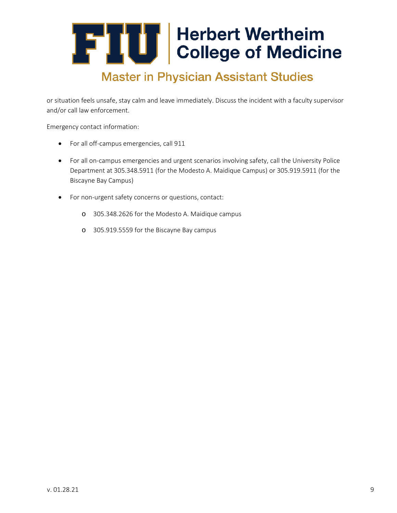## **Master in Physician Assistant Studies**

or situation feels unsafe, stay calm and leave immediately. Discuss the incident with a faculty supervisor and/or call law enforcement.

Emergency contact information:

- For all off-campus emergencies, call 911
- For all on-campus emergencies and urgent scenarios involving safety, call the University Police Department at 305.348.5911 (for the Modesto A. Maidique Campus) or 305.919.5911 (for the Biscayne Bay Campus)
- For non-urgent safety concerns or questions, contact:
	- o 305.348.2626 for the Modesto A. Maidique campus
	- o 305.919.5559 for the Biscayne Bay campus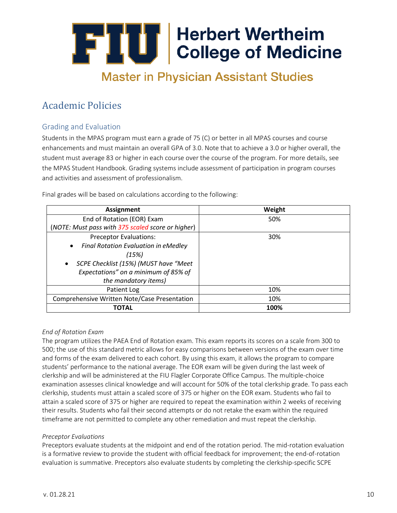## **Master in Physician Assistant Studies**

### <span id="page-9-0"></span>Academic Policies

### Grading and Evaluation

Students in the MPAS program must earn a grade of 75 (C) or better in all MPAS courses and course enhancements and must maintain an overall GPA of 3.0. Note that to achieve a 3.0 or higher overall, the student must average 83 or higher in each course over the course of the program. For more details, see the MPAS Student Handbook. Grading systems include assessment of participation in program courses and activities and assessment of professionalism.

Final grades will be based on calculations according to the following:

| <b>Assignment</b>                                  | Weight |
|----------------------------------------------------|--------|
| End of Rotation (EOR) Exam                         | 50%    |
| (NOTE: Must pass with 375 scaled score or higher)  |        |
| <b>Preceptor Evaluations:</b>                      | 30%    |
| Final Rotation Evaluation in eMedley<br>$\bullet$  |        |
| (15%)                                              |        |
| SCPE Checklist (15%) (MUST have "Meet<br>$\bullet$ |        |
| Expectations" on a minimum of 85% of               |        |
| the mandatory items)                               |        |
| Patient Log                                        | 10%    |
| Comprehensive Written Note/Case Presentation       | 10%    |
| TOTAL                                              | 100%   |

#### *End of Rotation Exam*

The program utilizes the PAEA End of Rotation exam. This exam reports its scores on a scale from 300 to 500; the use of this standard metric allows for easy comparisons between versions of the exam over time and forms of the exam delivered to each cohort. By using this exam, it allows the program to compare students' performance to the national average. The EOR exam will be given during the last week of clerkship and will be administered at the FIU Flagler Corporate Office Campus. The multiple-choice examination assesses clinical knowledge and will account for 50% of the total clerkship grade. To pass each clerkship, students must attain a scaled score of 375 or higher on the EOR exam. Students who fail to attain a scaled score of 375 or higher are required to repeat the examination within 2 weeks of receiving their results. Students who fail their second attempts or do not retake the exam within the required timeframe are not permitted to complete any other remediation and must repeat the clerkship.

#### *Preceptor Evaluations*

Preceptors evaluate students at the midpoint and end of the rotation period. The mid-rotation evaluation is a formative review to provide the student with official feedback for improvement; the end-of-rotation evaluation is summative. Preceptors also evaluate students by completing the clerkship-specific SCPE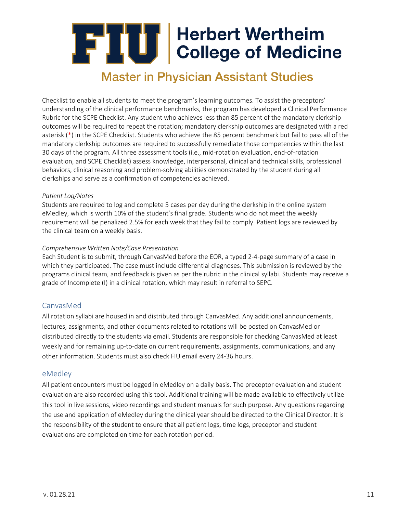### **Master in Physician Assistant Studies**

Checklist to enable all students to meet the program's learning outcomes. To assist the preceptors' understanding of the clinical performance benchmarks, the program has developed a Clinical Performance Rubric for the SCPE Checklist. Any student who achieves less than 85 percent of the mandatory clerkship outcomes will be required to repeat the rotation; mandatory clerkship outcomes are designated with a red asterisk (\*) in the SCPE Checklist. Students who achieve the 85 percent benchmark but fail to pass all of the mandatory clerkship outcomes are required to successfully remediate those competencies within the last 30 days of the program. All three assessment tools (i.e., mid-rotation evaluation, end-of-rotation evaluation, and SCPE Checklist) assess knowledge, interpersonal, clinical and technical skills, professional behaviors, clinical reasoning and problem-solving abilities demonstrated by the student during all clerkships and serve as a confirmation of competencies achieved.

#### *Patient Log/Notes*

Students are required to log and complete 5 cases per day during the clerkship in the online system eMedley, which is worth 10% of the student's final grade. Students who do not meet the weekly requirement will be penalized 2.5% for each week that they fail to comply. Patient logs are reviewed by the clinical team on a weekly basis.

#### *Comprehensive Written Note/Case Presentation*

Each Student is to submit, through CanvasMed before the EOR, a typed 2-4-page summary of a case in which they participated. The case must include differential diagnoses. This submission is reviewed by the programs clinical team, and feedback is given as per the rubric in the clinical syllabi. Students may receive a grade of Incomplete (I) in a clinical rotation, which may result in referral to SEPC.

#### <span id="page-10-0"></span>CanvasMed

All rotation syllabi are housed in and distributed through CanvasMed. Any additional announcements, lectures, assignments, and other documents related to rotations will be posted on CanvasMed or distributed directly to the students via email. Students are responsible for checking CanvasMed at least weekly and for remaining up-to-date on current requirements, assignments, communications, and any other information. Students must also check FIU email every 24-36 hours.

#### <span id="page-10-1"></span>eMedley

<span id="page-10-2"></span>All patient encounters must be logged in eMedley on a daily basis. The preceptor evaluation and student evaluation are also recorded using this tool. Additional training will be made available to effectively utilize this tool in live sessions, video recordings and student manuals for such purpose. Any questions regarding the use and application of eMedley during the clinical year should be directed to the Clinical Director. It is the responsibility of the student to ensure that all patient logs, time logs, preceptor and student evaluations are completed on time for each rotation period.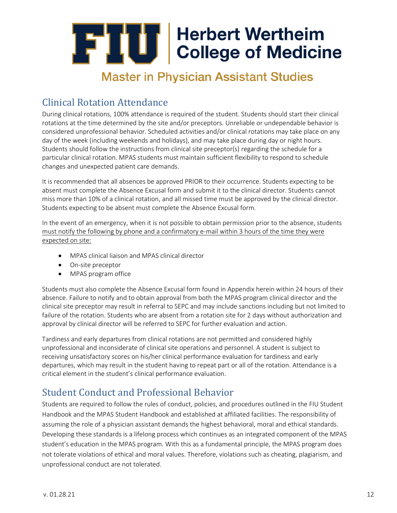### **Master in Physician Assistant Studies**

### Clinical Rotation Attendance

During clinical rotations, 100% attendance is required of the student. Students should start their clinical rotations at the time determined by the site and/or preceptors. Unreliable or undependable behavior is considered unprofessional behavior. Scheduled activities and/or clinical rotations may take place on any day of the week (including weekends and holidays), and may take place during day or night hours. Students should follow the instructions from clinical site preceptor(s) regarding the schedule for a particular clinical rotation. MPAS students must maintain sufficient flexibility to respond to schedule changes and unexpected patient care demands.

It is recommended that all absences be approved PRIOR to their occurrence. Students expecting to be absent must complete the Absence Excusal form and submit it to the clinical director. Students cannot miss more than 10% of a clinical rotation, and all missed time must be approved by the clinical director. Students expecting to be absent must complete the Absence Excusal form.

In the event of an emergency, when it is not possible to obtain permission prior to the absence, students must notify the following by phone and a confirmatory e-mail within 3 hours of the time they were expected on site:

- MPAS clinical liaison and MPAS clinical director
- On-site preceptor
- MPAS program office

Students must also complete the Absence Excusal form found in Appendix herein within 24 hours of their absence. Failure to notify and to obtain approval from both the MPAS program clinical director and the clinical site preceptor may result in referral to SEPC and may include sanctions including but not limited to failure of the rotation. Students who are absent from a rotation site for 2 days without authorization and approval by clinical director will be referred to SEPC for further evaluation and action.

Tardiness and early departures from clinical rotations are not permitted and considered highly unprofessional and inconsiderate of clinical site operations and personnel. A student is subject to receiving unsatisfactory scores on his/her clinical performance evaluation for tardiness and early departures, which may result in the student having to repeat part or all of the rotation. Attendance is a critical element in the student's clinical performance evaluation.

### <span id="page-11-0"></span>Student Conduct and Professional Behavior

Students are required to follow the rules of conduct, policies, and procedures outlined in the FIU Student Handbook and the MPAS Student Handbook and established at affiliated facilities. The responsibility of assuming the role of a physician assistant demands the highest behavioral, moral and ethical standards. Developing these standards is a lifelong process which continues as an integrated component of the MPAS student's education in the MPAS program. With this as a fundamental principle, the MPAS program does not tolerate violations of ethical and moral values. Therefore, violations such as cheating, plagiarism, and unprofessional conduct are not tolerated.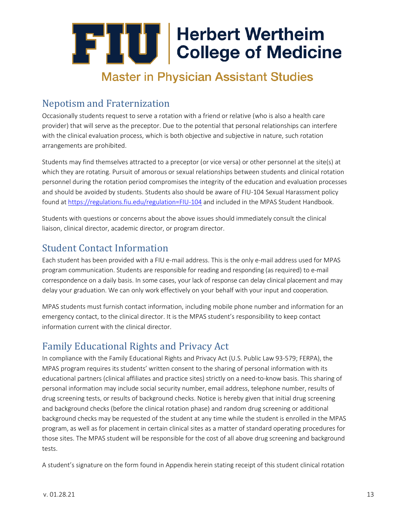### **Master in Physician Assistant Studies**

### <span id="page-12-0"></span>Nepotism and Fraternization

Occasionally students request to serve a rotation with a friend or relative (who is also a health care provider) that will serve as the preceptor. Due to the potential that personal relationships can interfere with the clinical evaluation process, which is both objective and subjective in nature, such rotation arrangements are prohibited.

Students may find themselves attracted to a preceptor (or vice versa) or other personnel at the site(s) at which they are rotating. Pursuit of amorous or sexual relationships between students and clinical rotation personnel during the rotation period compromises the integrity of the education and evaluation processes and should be avoided by students. Students also should be aware of FIU-104 Sexual Harassment policy found at [https://regulations.fiu.edu/regulation=FIU-104](https://regulations.fiu.edu/regulation%3DFIU-104) and included in the MPAS Student Handbook.

Students with questions or concerns about the above issues should immediately consult the clinical liaison, clinical director, academic director, or program director.

### <span id="page-12-1"></span>Student Contact Information

Each student has been provided with a FIU e-mail address. This is the only e-mail address used for MPAS program communication. Students are responsible for reading and responding (as required) to e-mail correspondence on a daily basis. In some cases, your lack of response can delay clinical placement and may delay your graduation. We can only work effectively on your behalf with your input and cooperation.

MPAS students must furnish contact information, including mobile phone number and information for an emergency contact, to the clinical director. It is the MPAS student's responsibility to keep contact information current with the clinical director.

### <span id="page-12-2"></span>Family Educational Rights and Privacy Act

In compliance with the Family Educational Rights and Privacy Act (U.S. Public Law 93-579; FERPA), the MPAS program requires its students' written consent to the sharing of personal information with its educational partners (clinical affiliates and practice sites) strictly on a need-to-know basis. This sharing of personal information may include social security number, email address, telephone number, results of drug screening tests, or results of background checks. Notice is hereby given that initial drug screening and background checks (before the clinical rotation phase) and random drug screening or additional background checks may be requested of the student at any time while the student is enrolled in the MPAS program, as well as for placement in certain clinical sites as a matter of standard operating procedures for those sites. The MPAS student will be responsible for the cost of all above drug screening and background tests.

A student's signature on the form found in Appendix herein stating receipt of this student clinical rotation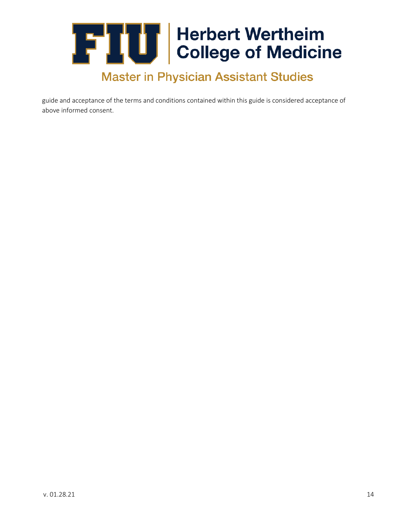## **THE Herbert Wertheim**<br>College of Medicine **Master in Physician Assistant Studies**

guide and acceptance of the terms and conditions contained within this guide is considered acceptance of above informed consent.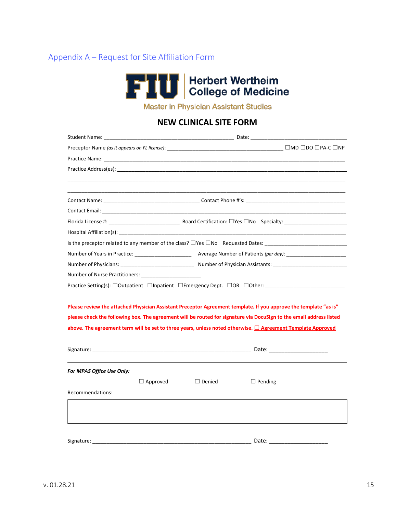### Appendix A – Request for Site Affiliation Form



**Master in Physician Assistant Studies** 

### **NEW CLINICAL SITE FORM**

| Hospital Affiliation(s): Note that the set of the set of the set of the set of the set of the set of the set of the set of the set of the set of the set of the set of the set of the set of the set of the set of the set of |                                                                                                                        |
|-------------------------------------------------------------------------------------------------------------------------------------------------------------------------------------------------------------------------------|------------------------------------------------------------------------------------------------------------------------|
|                                                                                                                                                                                                                               |                                                                                                                        |
|                                                                                                                                                                                                                               |                                                                                                                        |
|                                                                                                                                                                                                                               |                                                                                                                        |
| Number of Nurse Practitioners: Number of Nurse Practitioners:                                                                                                                                                                 |                                                                                                                        |
| Practice Setting(s): □Outpatient □Inpatient □Emergency Dept. □OR □Other: ______________                                                                                                                                       |                                                                                                                        |
|                                                                                                                                                                                                                               |                                                                                                                        |
|                                                                                                                                                                                                                               | Please review the attached Physician Assistant Preceptor Agreement template. If you approve the template "as is"       |
|                                                                                                                                                                                                                               | please check the following box. The agreement will be routed for signature via DocuSign to the email address listed    |
|                                                                                                                                                                                                                               | above. The agreement term will be set to three years, unless noted otherwise. <sup>1</sup> Agreement Template Approved |
|                                                                                                                                                                                                                               |                                                                                                                        |
|                                                                                                                                                                                                                               |                                                                                                                        |
|                                                                                                                                                                                                                               |                                                                                                                        |
| For MPAS Office Use Only:                                                                                                                                                                                                     |                                                                                                                        |
| $\Box$ Approved                                                                                                                                                                                                               | $\Box$ Denied<br>$\Box$ Pending                                                                                        |
| Recommendations:                                                                                                                                                                                                              |                                                                                                                        |
|                                                                                                                                                                                                                               |                                                                                                                        |
|                                                                                                                                                                                                                               |                                                                                                                        |
|                                                                                                                                                                                                                               |                                                                                                                        |
| Signature:                                                                                                                                                                                                                    | Date:                                                                                                                  |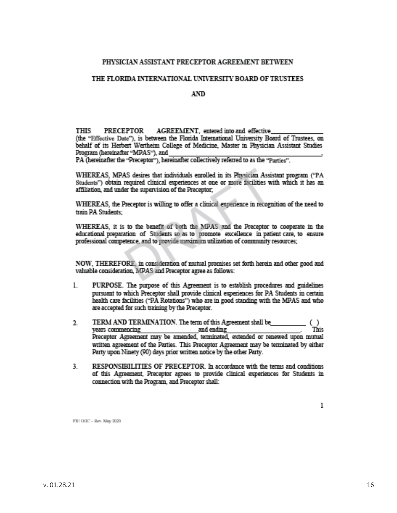#### PHYSICIAN ASSISTANT PRECEPTOR AGREEMENT BETWEEN

#### THE FLORIDA INTERNATIONAL UNIVERSITY BOARD OF TRUSTEES

#### AND.

THIS PRECEPTOR AGREEMENT, entered into and effective (the "Effective Date"), is between the Florida International University Board of Trustees, on behalf of its Herbert Wertheim College of Medicine, Master in Physician Assistant Studies Program (hereinafter "MPAS"), and

PA (hereinafter the "Preceptor"), hereinafter collectively referred to as the "Parties".

WHEREAS. MPAS desires that individuals enrolled in its Physician Assistant program ("PA Students") obtain required clinical experiences at one or more facilities with which it has an affiliation, and under the supervision of the Preceptor;

WHEREAS, the Preceptor is willing to offer a clinical experience in recognition of the need to train P.A. Students:

WHEREAS, it is to the benefit of both the MPAS and the Preceptor to cooperate in the educational preparation of Students so as to promote excellence in patient care, to ensure professional competence, and to provide maximum utilization of community resources;

NOW, THEREFORE, in consideration of mutual promises set forth herein and other good and valuable consideration, MPAS and Preceptor agree as follows:

- 1. PURPOSE. The purpose of this Agreement is to establish procedures and guidelines pursuant to which Preceptor shall provide clinical experiences for PA Students in certain health care facilities ("PA Rotations") who are in good standing with the MPAS and who are accepted for such training by the Preceptor.
- $\operatorname{TERM}$  AND  $\operatorname{TERMINATION}.$  The term of this Agreement shall be \_\_\_\_\_\_ Ъ. This. Preceptor Agreement may be amended, terminated, extended or renewed upon mutual written agreement of the Parties. This Preceptor Agreement may be terminated by either Party upon Ninety (90) days prior written notice by the other Party.
- RESPONSIBILITIES OF PRECEPTOR. In accordance with the terms and conditions 3. of this Agreement, Preceptor agrees to provide clinical experiences for Students in connection with the Program, and Preceptor shall:

FIU OGU -- Rav. May 2020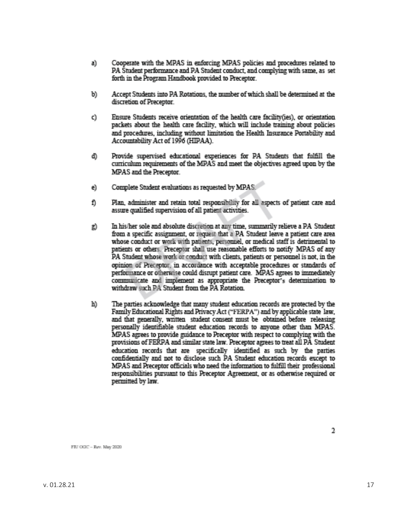- a). Cooperate with the MPAS in enforcing MPAS policies and procedures related to PA Student performance and PA Student conduct, and complying with same, as set forth in the Program Handbook provided to Preceptor.
- b). Accept Students into PA Rotations, the number of which shall be determined at the discretion of Preceptor.
- Ensure Students receive orientation of the health care facility(ies), or orientation Ò. packets about the health care facility, which will include training about policies and procedures, including without limitation the Health Insurance Portability and Accountability Act of 1996 (HIPAA).
- Ф. Provide supervised educational experiences for PA Students that fulfill the curriculum requirements of the MPAS and meet the objectives agreed upon by the MPAS and the Preceptor.
- Complete Student evaluations as requested by MPAS e).
- Plan, administer and retain total responsibility for all aspects of patient care and Đ. assure qualified supervision of all patient activities.
- In his/her sole and absolute discretion at any time, summarily relieve a PA Student g). from a specific assignment, or request that a PA Student leave a patient care area whose conduct or work with patients, personnel, or medical staff is detrimental to patients or others. Preceptor shall use reasonable efforts to notify MPAS of any PA Student whose work or conduct with clients, patients or personnel is not, in the opinion of Preceptor, in accordance with acceptable procedures or standards of performance or otherwise could disrupt patient care. MPAS agrees to immediately communicate and implement as appropriate the Preceptor's determination to withdraw such PA Student from the PA Rotation
- The parties acknowledge that many student education records are protected by the h). Family Educational Rights and Privacy Act ("FERPA") and by applicable state law, and that generally, written student consent must be obtained before releasing personally identifiable student education records to anyone other than MPAS. MPAS agrees to provide guidance to Preceptor with respect to complying with the provisions of FERPA and similar state law. Preceptor agrees to treat all PA Student education records that are specifically identified as such by the parties confidentially and not to disclose such PA Student education records except to MPAS and Preceptor officials who need the information to fulfill their professional responsibilities pursuant to this Preceptor Agreement, or as otherwise required or permitted by law.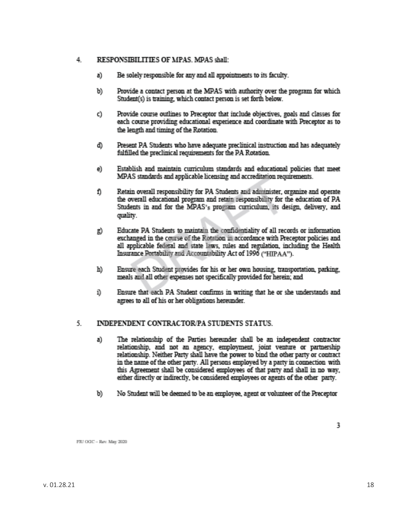#### 4. RESPONSIBILITIES OF MPAS, MPAS shall:

- a) Be solely responsible for any and all appointments to its faculty.
- b). Provide a contact person at the MPAS with authority over the program for which Student(s) is training, which contact person is set forth below.
- Provide course outlines to Preceptor that include objectives, goals and classes for O. each course providing educational experience and coordinate with Preceptor as to the length and timing of the Rotation.
- Present PA Students who have adequate preclinical instruction and has adequately d). fulfilled the preclimical requirements for the PA Rotation.
- Establish and maintain curriculum standards and educational policies that meet e). MPAS standards and applicable licensing and accreditation requirements.
- Đ. Retain overall responsibility for PA Students and administer, organize and operate the overall educational program and retain responsibility for the education of PA Students in and for the MPAS's program curriculum, its design, delivery, and quality.
- Educate PA Students to maintain the confidentiality of all records or information R). exchanged in the course of the Rotation in accordance with Preceptor policies and all applicable federal and state laws, rules and regulation, including the Health Insurance Portability and Accountability Act of 1996 ("HIPAA").
- Ensure each Student provides for his or her own housing, transportation, parking, m. meals and all other expenses not specifically provided for herein; and
- Ensure that each PA Student confirms in writing that he or she understands and D. agrees to all of his or her obligations hereunder.

#### 5., **INDEPENDENT CONTRACTOR/PA STUDENTS STATUS.**

- The relationship of the Parties hereunder shall be an independent contractor a). relationship, and not an agency, employment, joint venture or partnership relationship. Neither Party shall have the power to bind the other party or contract in the name of the other party. All persons employed by a party in connection with this Agreement shall be considered employees of that party and shall in no way, either directly or indirectly, be considered employees or agents of the other party.
- No Student will be deemed to be an employee, agent or volunteer of the Preceptor b).

3.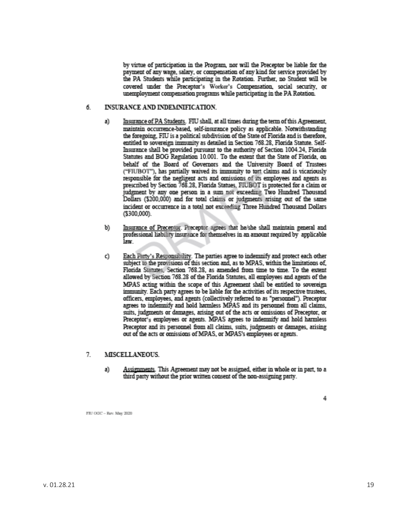by virtue of participation in the Program, nor will the Preceptor be liable for the payment of any wage, salary, or compensation of any kind for service provided by the PA Students while participating in the Rotation. Further, no Student will be covered under the Preceptor's Worker's Compensation, social security, or unemployment compensation programs while participating in the PA Rotation.

#### INSURANCE AND INDEMINIFICATION. б.

- Insurance of PA Students. FIU shall, at all times during the term of this Agreement, a) maintain occurrence-based, self-insurance policy as applicable. Notwithstanding the foregoing, FIU is a political subdivision of the State of Florida and is therefore, entitled to sovereign immunity as detailed in Section 768.28, Florida Statute. Self-Insurance shall be provided pursuant to the authority of Section 1004.24, Florida Statutes and BOG Regulation 10.001. To the extent that the State of Florida, on behalf of the Board of Governors and the University Board of Trustees ("FIUBOT"), has partially waived its immunity to tent claims and is vicariously responsible for the negligent acts and omissions of its employees and agents as prescribed by Section 768.28, Florida Statues, FIUBOT is protected for a claim or judgment by any one person in a sum not exceeding Two Hundred Thousand Dollars (\$200,000) and for total claims or judgments arising out of the same incident or occurrence in a total not exceeding Three Hundred Thousand Dollars (\$300,000).
- b). Insurance of Preceptor. Preceptor agrees that he/she shall maintain general and professional liability insurance for themselves in an amount required by applicable law.
- Each Party's Responsibility. The parties agree to indemnify and protect each other Q. subject to the provisions of this section and, as to MPAS, within the limitations of, Florida Statutes, Section 768.28, as amended from time to time. To the extent allowed by Section 768.28 of the Florida Statutes, all employees and agents of the MPAS acting within the scope of this Agreement shall be entitled to sovereign immunity. Each party agrees to be liable for the activities of its respective trustees, officers, employees, and agents (collectively referred to as "personnel"). Preceptor agrees to indemnify and hold harmless MPAS and its personnel from all claims, suits, judgments or damages, arising out of the acts or omissions of Preceptor, or Preceptor's employees or agents. MPAS agrees to indemnify and hold harmless Preceptor and its personnel from all claims, suits, judgments or damages, arising out of the acts or omissions of MPAS, or MPAS's employees or agents.

#### 7. MISCELLANEOUS.

a). Assignments. This Agreement may not be assigned, either in whole or in part, to a third party without the prior written consent of the non-assigning party.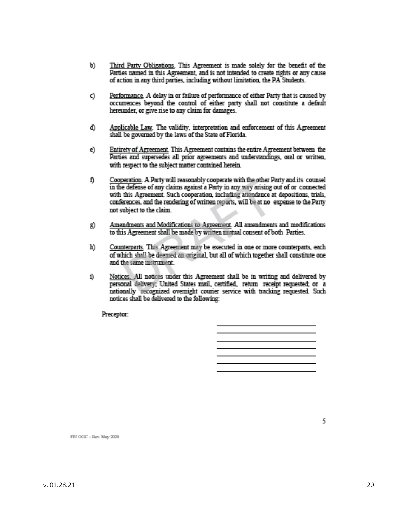- Third Party Obligations. This Agreement is made solely for the benefit of the b). Parties named in this Agreement, and is not intended to create rights or any cause of action in any third parties, including without limitation, the PA Students.
- Performance. A delay in or failure of performance of either Party that is caused by C). occurrences beyond the control of either party shall not constitute a default hereunder, or give rise to any claim for damages.
- Applicable Law. The validity, interpretation and enforcement of this Agreement Ф. shall be governed by the laws of the State of Florida.
- Entirety of Agreement. This Agreement contains the entire Agreement between the e). Parties and supersedes all prior agreements and understandings, oral or written, with respect to the subject matter contained herein.
- Đ. Cooperation. A Party will reasonably cooperate with the other Party and its counsel in the defense of any claims against a Party in any way arising out of or connected with this Agreement. Such cooperation, including attendance at depositions, trials, conferences, and the rendering of written reports, will be at no expense to the Party not subject to the claim.
- Amendments and Modifications to Agreement. All amendments and modifications g). to this Agreement shall be made by written mutual consent of both Parties.
- Counterparts. This Agreement may be executed in one or more counterparts, each ы of which shall be deemed an original, but all of which together shall constitute one and the same instrument
- Notices. All notices under this Agreement shall be in writing and delivered by Ď. personal delivery; United States mail, certified, return receipt requested; or a nationally recognized overnight courier service with tracking requested. Such notices shall be delivered to the following:

Preceptor:



FIU OOC -- Rev. May 2020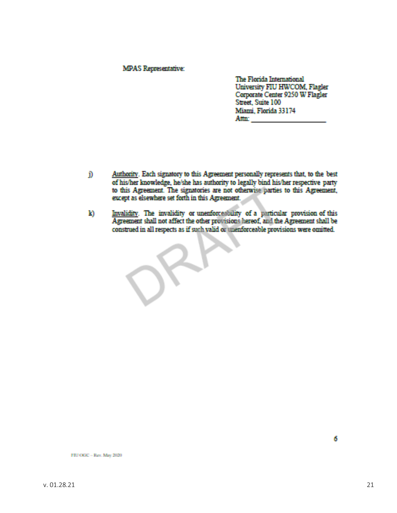#### **MPAS Representative:**

The Florida International University FIU HWCOM, Flagler Corporate Center 9250 W Flagler Street, Suite 100 Miami, Florida 33174 Attn: and the state of the state of the state of the state of the state of the state of the state of the state of the state of the state of the state of the state of the state of the state of the state of the state of the

- D Authority. Each signatory to this Agreement personally represents that, to the best of his/her knowledge, he/she has authority to legally bind his/her respective party to this Agreement. The signatories are not otherwise parties to this Agreement, except as elsewhere set forth in this Agreement.
- Invalidity. The invalidity or unenforceability of a particular provision of this Agreement shall not affect the other provisions hereof, and the Agreement shall be k) construed in all respects as if such valid or unenforceable provisions were omitted.

6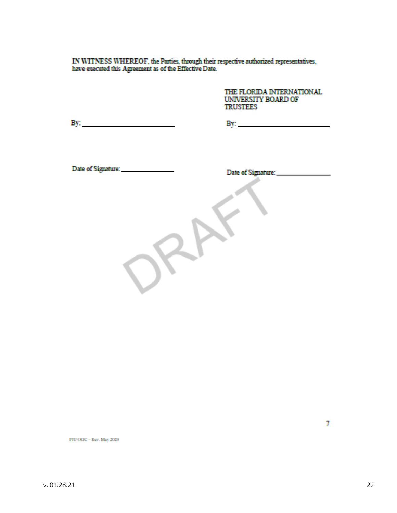IN WITNESS WHEREOF, the Parties, through their respective authorized representatives, have executed this Agreement as of the Effective Date.

THE FLORIDA INTERNATIONAL UNIVERSITY BOARD OF **TRUSTEES** 

By:  $\qquad \qquad$ 

Date of Signature: \_\_\_\_\_\_\_\_\_\_\_\_\_\_\_\_\_

FRI OGC - Rev. May 2020

7.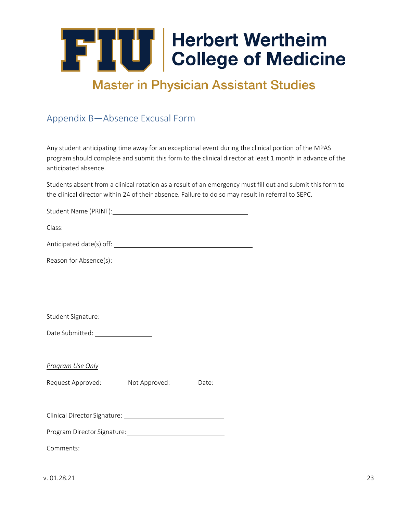### **Master in Physician Assistant Studies**

### <span id="page-22-0"></span>Appendix B—Absence Excusal Form

Any student anticipating time away for an exceptional event during the clinical portion of the MPAS program should complete and submit this form to the clinical director at least 1 month in advance of the anticipated absence.

Students absent from a clinical rotation as a result of an emergency must fill out and submit this form to the clinical director within 24 of their absence. Failure to do so may result in referral to SEPC.

| Class:                                                                                                                 |  |
|------------------------------------------------------------------------------------------------------------------------|--|
|                                                                                                                        |  |
| Reason for Absence(s):<br>,我们也不会有什么。""我们的人,我们也不会有什么?""我们的人,我们也不会有什么?""我们的人,我们也不会有什么?""我们的人,我们也不会有什么?""我们的人             |  |
| <u> 1989 - Andrea San Andrea San Andrea San Andrea San Andrea San Andrea San Andrea San Andrea San Andrea San Andr</u> |  |
| ,我们也不会有什么。""我们的人,我们也不会有什么?""我们的人,我们也不会有什么?""我们的人,我们也不会有什么?""我们的人,我们也不会有什么?""我们的人                                       |  |
|                                                                                                                        |  |
| Date Submitted: ___________________                                                                                    |  |
| Program Use Only                                                                                                       |  |
| Request Approved: _________ Not Approved: _________ Date: ________________                                             |  |
|                                                                                                                        |  |
|                                                                                                                        |  |
| Comments:                                                                                                              |  |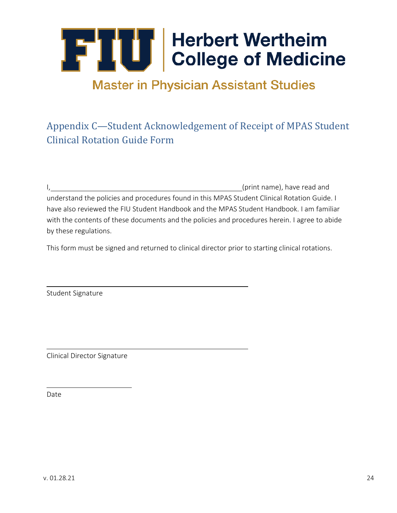## **Master in Physician Assistant Studies**

### <span id="page-23-0"></span>Appendix C—Student Acknowledgement of Receipt of MPAS Student Clinical Rotation Guide Form

I, the contract of the contract of the contract of the contract of the contract of the contract of the contract of the contract of the contract of the contract of the contract of the contract of the contract of the contrac understand the policies and procedures found in this MPAS Student Clinical Rotation Guide. I have also reviewed the FIU Student Handbook and the MPAS Student Handbook. I am familiar with the contents of these documents and the policies and procedures herein. I agree to abide by these regulations.

This form must be signed and returned to clinical director prior to starting clinical rotations.

Student Signature

Clinical Director Signature

Date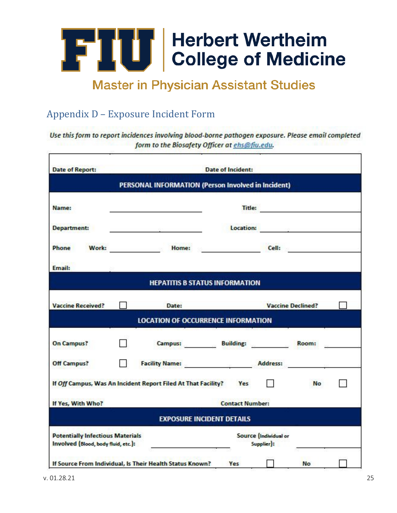

### **Master in Physician Assistant Studies**

### <span id="page-24-0"></span>Appendix D – Exposure Incident Form

Use this form to report incidences involving blood-borne pathogen exposure. Please email completed form to the Biosafety Officer at ehs@fiu.edu.

| <b>Date of Report:</b>                                                         | <b>Date of Incident:</b> |                                                                                                               |                                   |                                     |                                                                                                                                                                                                                                     |  |
|--------------------------------------------------------------------------------|--------------------------|---------------------------------------------------------------------------------------------------------------|-----------------------------------|-------------------------------------|-------------------------------------------------------------------------------------------------------------------------------------------------------------------------------------------------------------------------------------|--|
|                                                                                |                          | PERSONAL INFORMATION (Person Involved in Incident)                                                            |                                   |                                     |                                                                                                                                                                                                                                     |  |
| Name:                                                                          |                          |                                                                                                               |                                   | Title:                              |                                                                                                                                                                                                                                     |  |
| <b>Department:</b>                                                             |                          | 1000 - 1000 - 1000 - 1000 - 1000 - 1000 - 1000 - 1000 - 1000 - 1000 - 1000 - 1000 - 1000 - 1000 - 1000 - 1000 |                                   |                                     | <b>Location:</b> Production: Production: Production: Production: Production: Production: Production: Production: Production: Production: Production: Production: Production: Production: Production: Production: Production: Produc |  |
| Phone<br>Work:                                                                 |                          | <b>Example 2018 Home:</b> Home: 2018                                                                          |                                   |                                     | Cell: <b>Cell</b>                                                                                                                                                                                                                   |  |
| Email:                                                                         |                          |                                                                                                               |                                   |                                     |                                                                                                                                                                                                                                     |  |
|                                                                                |                          | <b>HEPATITIS B STATUS INFORMATION</b>                                                                         |                                   |                                     |                                                                                                                                                                                                                                     |  |
| <b>Vaccine Received?</b>                                                       |                          | Date:                                                                                                         |                                   |                                     | <b>Vaccine Declined?</b>                                                                                                                                                                                                            |  |
|                                                                                |                          | <b>LOCATION OF OCCURRENCE INFORMATION</b>                                                                     |                                   |                                     |                                                                                                                                                                                                                                     |  |
| <b>On Campus?</b>                                                              |                          |                                                                                                               | Campus: Building: Building: Room: |                                     |                                                                                                                                                                                                                                     |  |
| Off Campus?                                                                    |                          | Facility Name: Address:                                                                                       |                                   |                                     |                                                                                                                                                                                                                                     |  |
|                                                                                |                          | If Off Campus, Was An Incident Report Filed At That Facility? Yes                                             |                                   |                                     | <b>No</b>                                                                                                                                                                                                                           |  |
| If Yes, With Who?                                                              |                          |                                                                                                               | <b>Contact Number:</b>            |                                     |                                                                                                                                                                                                                                     |  |
|                                                                                |                          |                                                                                                               | <b>EXPOSURE INCIDENT DETAILS</b>  |                                     |                                                                                                                                                                                                                                     |  |
| <b>Potentially Infectious Materials</b><br>Involved (Blood, body fluid, etc.): |                          |                                                                                                               |                                   | Source (Individual or<br>Supplier): |                                                                                                                                                                                                                                     |  |
|                                                                                |                          | If Source From Individual, Is Their Health Status Known?                                                      | Yes                               |                                     | No                                                                                                                                                                                                                                  |  |